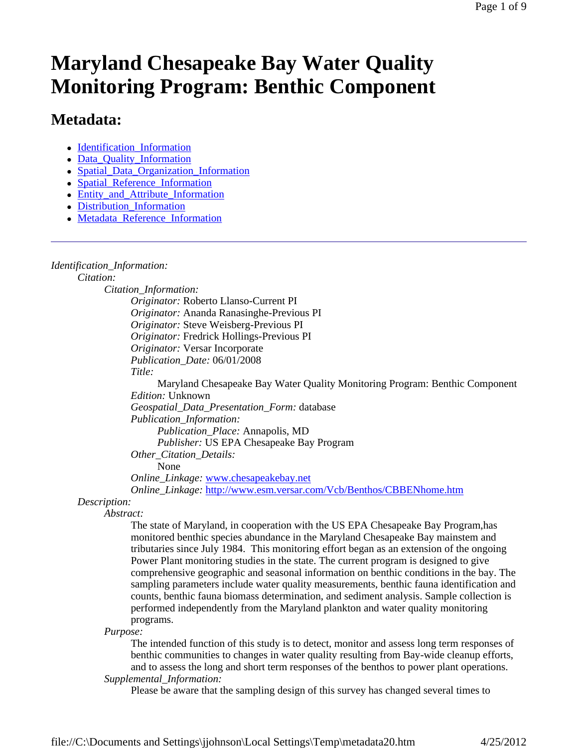# **Maryland Chesapeake Bay Water Quality Monitoring Program: Benthic Component**

# **Metadata:**

- Identification\_Information
- Data Quality Information
- Spatial\_Data\_Organization\_Information
- Spatial\_Reference\_Information
- Entity and Attribute Information
- Distribution Information
- Metadata\_Reference\_Information

### *Identification\_Information:*

*Citation:*

*Citation\_Information: Originator:* Roberto Llanso-Current PI

*Originator:* Ananda Ranasinghe-Previous PI *Originator:* Steve Weisberg-Previous PI *Originator:* Fredrick Hollings-Previous PI *Originator:* Versar Incorporate *Publication\_Date:* 06/01/2008

*Title:*

Maryland Chesapeake Bay Water Quality Monitoring Program: Benthic Component *Edition:* Unknown *Geospatial\_Data\_Presentation\_Form:* database

*Publication\_Information:*

*Publication\_Place:* Annapolis, MD *Publisher:* US EPA Chesapeake Bay Program

*Other\_Citation\_Details:*

None

*Online\_Linkage:* www.chesapeakebay.net

*Online\_Linkage:* http://www.esm.versar.com/Vcb/Benthos/CBBENhome.htm

## *Description:*

*Abstract:*

The state of Maryland, in cooperation with the US EPA Chesapeake Bay Program,has monitored benthic species abundance in the Maryland Chesapeake Bay mainstem and tributaries since July 1984. This monitoring effort began as an extension of the ongoing Power Plant monitoring studies in the state. The current program is designed to give comprehensive geographic and seasonal information on benthic conditions in the bay. The sampling parameters include water quality measurements, benthic fauna identification and counts, benthic fauna biomass determination, and sediment analysis. Sample collection is performed independently from the Maryland plankton and water quality monitoring programs.

*Purpose:*

The intended function of this study is to detect, monitor and assess long term responses of benthic communities to changes in water quality resulting from Bay-wide cleanup efforts, and to assess the long and short term responses of the benthos to power plant operations. *Supplemental\_Information:*

Please be aware that the sampling design of this survey has changed several times to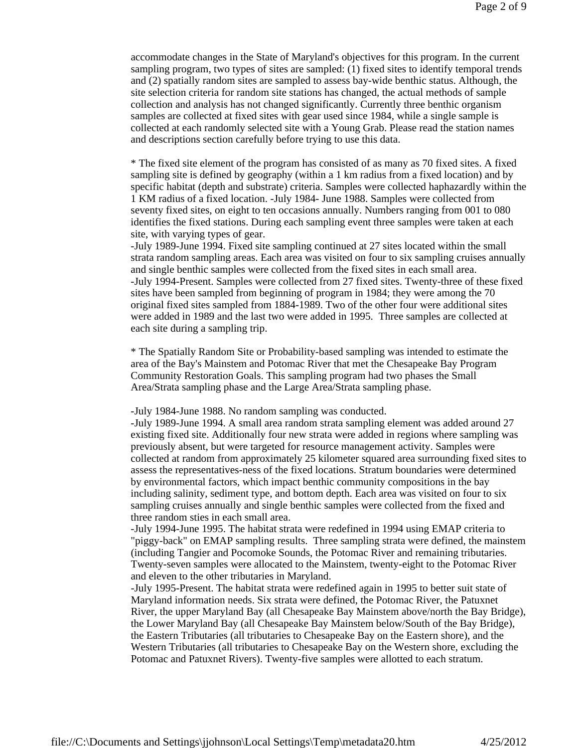accommodate changes in the State of Maryland's objectives for this program. In the current sampling program, two types of sites are sampled: (1) fixed sites to identify temporal trends and (2) spatially random sites are sampled to assess bay-wide benthic status. Although, the site selection criteria for random site stations has changed, the actual methods of sample collection and analysis has not changed significantly. Currently three benthic organism samples are collected at fixed sites with gear used since 1984, while a single sample is collected at each randomly selected site with a Young Grab. Please read the station names and descriptions section carefully before trying to use this data.

\* The fixed site element of the program has consisted of as many as 70 fixed sites. A fixed sampling site is defined by geography (within a 1 km radius from a fixed location) and by specific habitat (depth and substrate) criteria. Samples were collected haphazardly within the 1 KM radius of a fixed location. -July 1984- June 1988. Samples were collected from seventy fixed sites, on eight to ten occasions annually. Numbers ranging from 001 to 080 identifies the fixed stations. During each sampling event three samples were taken at each site, with varying types of gear.

-July 1989-June 1994. Fixed site sampling continued at 27 sites located within the small strata random sampling areas. Each area was visited on four to six sampling cruises annually and single benthic samples were collected from the fixed sites in each small area. -July 1994-Present. Samples were collected from 27 fixed sites. Twenty-three of these fixed sites have been sampled from beginning of program in 1984; they were among the 70 original fixed sites sampled from 1884-1989. Two of the other four were additional sites were added in 1989 and the last two were added in 1995. Three samples are collected at each site during a sampling trip.

\* The Spatially Random Site or Probability-based sampling was intended to estimate the area of the Bay's Mainstem and Potomac River that met the Chesapeake Bay Program Community Restoration Goals. This sampling program had two phases the Small Area/Strata sampling phase and the Large Area/Strata sampling phase.

#### -July 1984-June 1988. No random sampling was conducted.

-July 1989-June 1994. A small area random strata sampling element was added around 27 existing fixed site. Additionally four new strata were added in regions where sampling was previously absent, but were targeted for resource management activity. Samples were collected at random from approximately 25 kilometer squared area surrounding fixed sites to assess the representatives-ness of the fixed locations. Stratum boundaries were determined by environmental factors, which impact benthic community compositions in the bay including salinity, sediment type, and bottom depth. Each area was visited on four to six sampling cruises annually and single benthic samples were collected from the fixed and three random sties in each small area.

-July 1994-June 1995. The habitat strata were redefined in 1994 using EMAP criteria to "piggy-back" on EMAP sampling results. Three sampling strata were defined, the mainstem (including Tangier and Pocomoke Sounds, the Potomac River and remaining tributaries. Twenty-seven samples were allocated to the Mainstem, twenty-eight to the Potomac River and eleven to the other tributaries in Maryland.

-July 1995-Present. The habitat strata were redefined again in 1995 to better suit state of Maryland information needs. Six strata were defined, the Potomac River, the Patuxnet River, the upper Maryland Bay (all Chesapeake Bay Mainstem above/north the Bay Bridge), the Lower Maryland Bay (all Chesapeake Bay Mainstem below/South of the Bay Bridge), the Eastern Tributaries (all tributaries to Chesapeake Bay on the Eastern shore), and the Western Tributaries (all tributaries to Chesapeake Bay on the Western shore, excluding the Potomac and Patuxnet Rivers). Twenty-five samples were allotted to each stratum.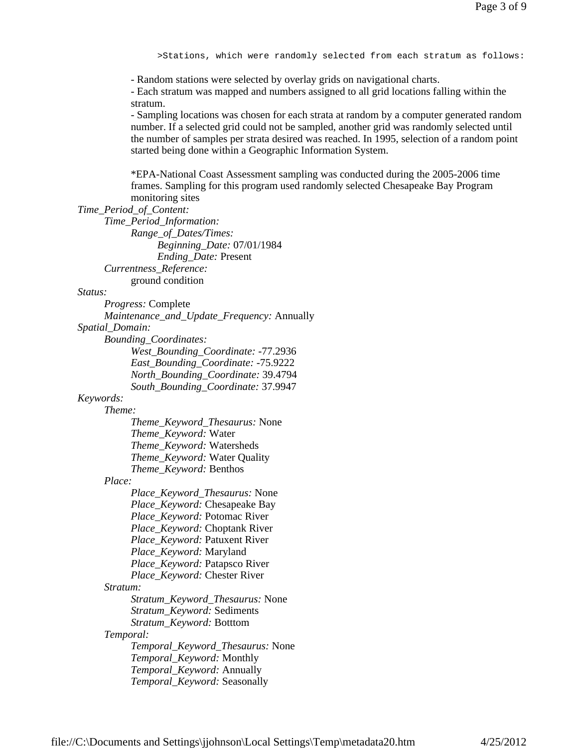>Stations, which were randomly selected from each stratum as follows:

- Random stations were selected by overlay grids on navigational charts.

- Each stratum was mapped and numbers assigned to all grid locations falling within the stratum.

- Sampling locations was chosen for each strata at random by a computer generated random number. If a selected grid could not be sampled, another grid was randomly selected until the number of samples per strata desired was reached. In 1995, selection of a random point started being done within a Geographic Information System.

\*EPA-National Coast Assessment sampling was conducted during the 2005-2006 time frames. Sampling for this program used randomly selected Chesapeake Bay Program monitoring sites

#### *Time\_Period\_of\_Content:*

*Time\_Period\_Information: Range\_of\_Dates/Times: Beginning\_Date:* 07/01/1984 *Ending\_Date:* Present *Currentness\_Reference:* ground condition

*Status:*

*Progress:* Complete

*Maintenance\_and\_Update\_Frequency:* Annually

*Spatial\_Domain:*

*Bounding\_Coordinates:*

*West\_Bounding\_Coordinate:* -77.2936 *East\_Bounding\_Coordinate:* -75.9222 *North\_Bounding\_Coordinate:* 39.4794 *South\_Bounding\_Coordinate:* 37.9947

#### *Keywords:*

*Theme:*

*Theme\_Keyword\_Thesaurus:* None *Theme\_Keyword:* Water *Theme\_Keyword:* Watersheds *Theme\_Keyword:* Water Quality *Theme\_Keyword:* Benthos

#### *Place:*

*Place\_Keyword\_Thesaurus:* None *Place\_Keyword:* Chesapeake Bay *Place\_Keyword:* Potomac River *Place\_Keyword:* Choptank River *Place\_Keyword:* Patuxent River *Place\_Keyword:* Maryland *Place\_Keyword:* Patapsco River *Place\_Keyword:* Chester River *Stratum:*

*Stratum\_Keyword\_Thesaurus:* None *Stratum\_Keyword:* Sediments *Stratum\_Keyword:* Botttom

#### *Temporal:*

*Temporal\_Keyword\_Thesaurus:* None *Temporal\_Keyword:* Monthly *Temporal\_Keyword:* Annually *Temporal\_Keyword:* Seasonally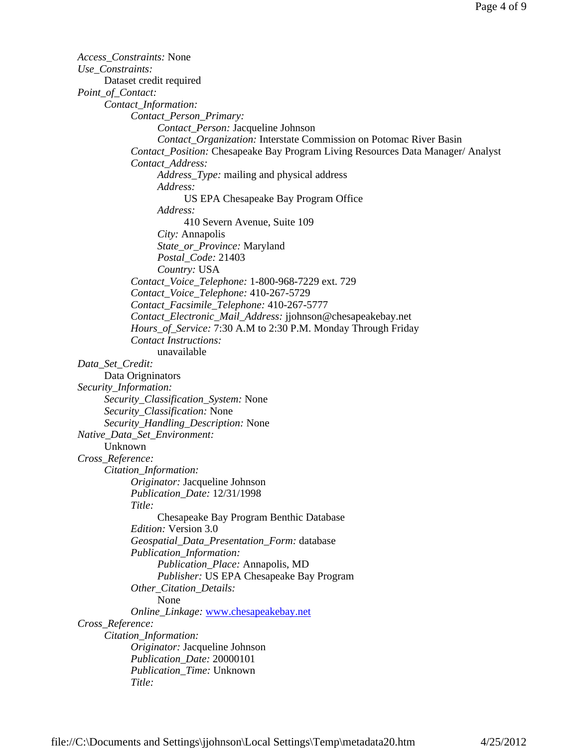*Access\_Constraints:* None *Use\_Constraints:* Dataset credit required *Point\_of\_Contact: Contact\_Information: Contact\_Person\_Primary: Contact\_Person:* Jacqueline Johnson *Contact\_Organization:* Interstate Commission on Potomac River Basin *Contact\_Position:* Chesapeake Bay Program Living Resources Data Manager/ Analyst *Contact\_Address: Address\_Type:* mailing and physical address *Address:* US EPA Chesapeake Bay Program Office *Address:* 410 Severn Avenue, Suite 109 *City:* Annapolis *State\_or\_Province:* Maryland *Postal\_Code:* 21403 *Country:* USA *Contact\_Voice\_Telephone:* 1-800-968-7229 ext. 729 *Contact\_Voice\_Telephone:* 410-267-5729 *Contact\_Facsimile\_Telephone:* 410-267-5777 *Contact\_Electronic\_Mail\_Address:* jjohnson@chesapeakebay.net *Hours\_of\_Service:* 7:30 A.M to 2:30 P.M. Monday Through Friday *Contact Instructions:* unavailable *Data\_Set\_Credit:* Data Origninators *Security\_Information: Security\_Classification\_System:* None *Security\_Classification:* None *Security\_Handling\_Description:* None *Native\_Data\_Set\_Environment:* Unknown *Cross\_Reference: Citation\_Information: Originator:* Jacqueline Johnson *Publication\_Date:* 12/31/1998 *Title:* Chesapeake Bay Program Benthic Database *Edition:* Version 3.0 *Geospatial\_Data\_Presentation\_Form:* database *Publication\_Information: Publication\_Place:* Annapolis, MD *Publisher:* US EPA Chesapeake Bay Program *Other\_Citation\_Details:* None *Online\_Linkage:* www.chesapeakebay.net *Cross\_Reference: Citation\_Information: Originator:* Jacqueline Johnson *Publication\_Date:* 20000101 *Publication\_Time:* Unknown *Title:*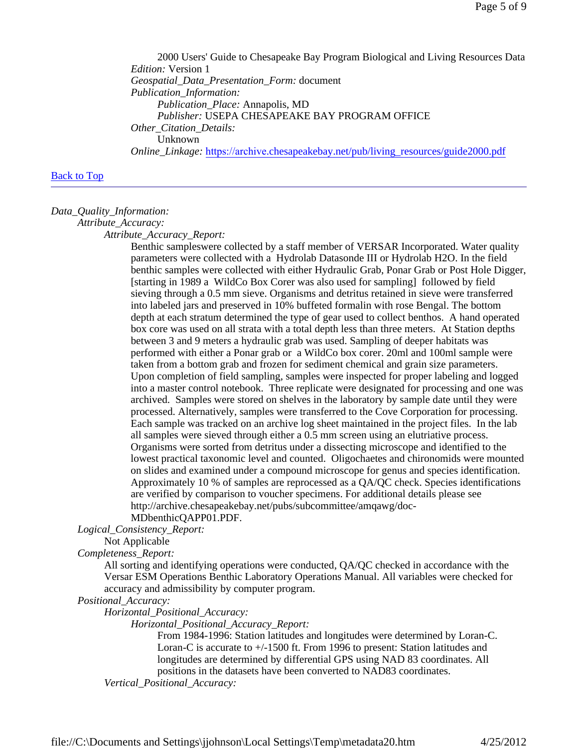2000 Users' Guide to Chesapeake Bay Program Biological and Living Resources Data *Edition:* Version 1 *Geospatial\_Data\_Presentation\_Form:* document *Publication\_Information: Publication\_Place:* Annapolis, MD *Publisher:* USEPA CHESAPEAKE BAY PROGRAM OFFICE *Other\_Citation\_Details:* Unknown *Online\_Linkage:* https://archive.chesapeakebay.net/pub/living\_resources/guide2000.pdf

#### Back to Top

#### *Data\_Quality\_Information:*

*Attribute\_Accuracy:*

*Attribute\_Accuracy\_Report:*

Benthic sampleswere collected by a staff member of VERSAR Incorporated. Water quality parameters were collected with a Hydrolab Datasonde III or Hydrolab H2O. In the field benthic samples were collected with either Hydraulic Grab, Ponar Grab or Post Hole Digger, [starting in 1989 a WildCo Box Corer was also used for sampling] followed by field sieving through a 0.5 mm sieve. Organisms and detritus retained in sieve were transferred into labeled jars and preserved in 10% buffeted formalin with rose Bengal. The bottom depth at each stratum determined the type of gear used to collect benthos. A hand operated box core was used on all strata with a total depth less than three meters. At Station depths between 3 and 9 meters a hydraulic grab was used. Sampling of deeper habitats was performed with either a Ponar grab or a WildCo box corer. 20ml and 100ml sample were taken from a bottom grab and frozen for sediment chemical and grain size parameters. Upon completion of field sampling, samples were inspected for proper labeling and logged into a master control notebook. Three replicate were designated for processing and one was archived. Samples were stored on shelves in the laboratory by sample date until they were processed. Alternatively, samples were transferred to the Cove Corporation for processing. Each sample was tracked on an archive log sheet maintained in the project files. In the lab all samples were sieved through either a 0.5 mm screen using an elutriative process. Organisms were sorted from detritus under a dissecting microscope and identified to the lowest practical taxonomic level and counted. Oligochaetes and chironomids were mounted on slides and examined under a compound microscope for genus and species identification. Approximately 10 % of samples are reprocessed as a QA/QC check. Species identifications are verified by comparison to voucher specimens. For additional details please see http://archive.chesapeakebay.net/pubs/subcommittee/amqawg/doc-

# MDbenthicQAPP01.PDF.

*Logical\_Consistency\_Report:*

# Not Applicable

*Completeness\_Report:*

All sorting and identifying operations were conducted, QA/QC checked in accordance with the Versar ESM Operations Benthic Laboratory Operations Manual. All variables were checked for accuracy and admissibility by computer program.

*Positional\_Accuracy:*

*Horizontal\_Positional\_Accuracy:*

*Horizontal\_Positional\_Accuracy\_Report:*

From 1984-1996: Station latitudes and longitudes were determined by Loran-C. Loran-C is accurate to +/-1500 ft. From 1996 to present: Station latitudes and longitudes are determined by differential GPS using NAD 83 coordinates. All positions in the datasets have been converted to NAD83 coordinates.

*Vertical\_Positional\_Accuracy:*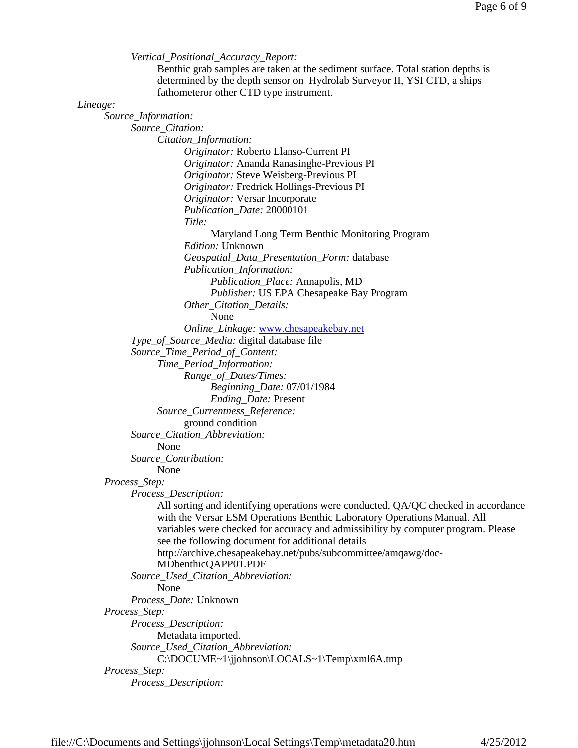*Vertical\_Positional\_Accuracy\_Report:* Benthic grab samples are taken at the sediment surface. Total station depths is determined by the depth sensor on Hydrolab Surveyor II, YSI CTD, a ships fathometeror other CTD type instrument. *Lineage: Source\_Information: Source\_Citation: Citation\_Information: Originator:* Roberto Llanso-Current PI *Originator:* Ananda Ranasinghe-Previous PI *Originator:* Steve Weisberg-Previous PI *Originator:* Fredrick Hollings-Previous PI *Originator:* Versar Incorporate *Publication\_Date:* 20000101 *Title:* Maryland Long Term Benthic Monitoring Program *Edition:* Unknown *Geospatial\_Data\_Presentation\_Form:* database *Publication\_Information: Publication\_Place:* Annapolis, MD *Publisher:* US EPA Chesapeake Bay Program *Other\_Citation\_Details:* None *Online\_Linkage:* www.chesapeakebay.net *Type\_of\_Source\_Media:* digital database file *Source\_Time\_Period\_of\_Content: Time\_Period\_Information: Range\_of\_Dates/Times: Beginning\_Date:* 07/01/1984 *Ending\_Date:* Present *Source\_Currentness\_Reference:* ground condition *Source\_Citation\_Abbreviation:* None *Source\_Contribution:* None *Process\_Step: Process\_Description:* All sorting and identifying operations were conducted, QA/QC checked in accordance with the Versar ESM Operations Benthic Laboratory Operations Manual. All variables were checked for accuracy and admissibility by computer program. Please see the following document for additional details http://archive.chesapeakebay.net/pubs/subcommittee/amqawg/doc-MDbenthicQAPP01.PDF *Source\_Used\_Citation\_Abbreviation:* None *Process\_Date:* Unknown *Process\_Step: Process\_Description:* Metadata imported. *Source\_Used\_Citation\_Abbreviation:* C:\DOCUME~1\jjohnson\LOCALS~1\Temp\xml6A.tmp *Process\_Step:*

```
Process_Description:
```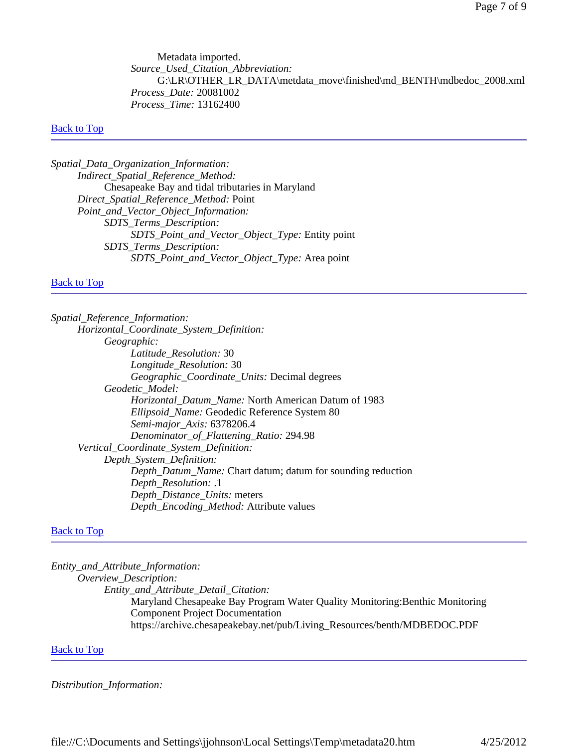Metadata imported. *Source\_Used\_Citation\_Abbreviation:* G:\LR\OTHER\_LR\_DATA\metdata\_move\finished\md\_BENTH\mdbedoc\_2008.xml *Process\_Date:* 20081002 *Process\_Time:* 13162400

#### **Back to Top**

*Spatial\_Data\_Organization\_Information: Indirect\_Spatial\_Reference\_Method:* Chesapeake Bay and tidal tributaries in Maryland *Direct\_Spatial\_Reference\_Method:* Point *Point\_and\_Vector\_Object\_Information: SDTS\_Terms\_Description: SDTS\_Point\_and\_Vector\_Object\_Type:* Entity point *SDTS\_Terms\_Description: SDTS\_Point\_and\_Vector\_Object\_Type:* Area point

#### **Back to Top**

*Spatial\_Reference\_Information: Horizontal\_Coordinate\_System\_Definition: Geographic: Latitude\_Resolution:* 30 *Longitude\_Resolution:* 30 *Geographic\_Coordinate\_Units:* Decimal degrees *Geodetic\_Model: Horizontal\_Datum\_Name:* North American Datum of 1983 *Ellipsoid\_Name:* Geodedic Reference System 80 *Semi-major\_Axis:* 6378206.4 *Denominator\_of\_Flattening\_Ratio:* 294.98 *Vertical\_Coordinate\_System\_Definition: Depth\_System\_Definition: Depth\_Datum\_Name:* Chart datum; datum for sounding reduction *Depth\_Resolution:* .1 *Depth\_Distance\_Units:* meters *Depth\_Encoding\_Method:* Attribute values

#### **Back to Top**

*Entity\_and\_Attribute\_Information: Overview\_Description: Entity\_and\_Attribute\_Detail\_Citation:* Maryland Chesapeake Bay Program Water Quality Monitoring:Benthic Monitoring Component Project Documentation https://archive.chesapeakebay.net/pub/Living\_Resources/benth/MDBEDOC.PDF

#### **Back to Top**

*Distribution\_Information:*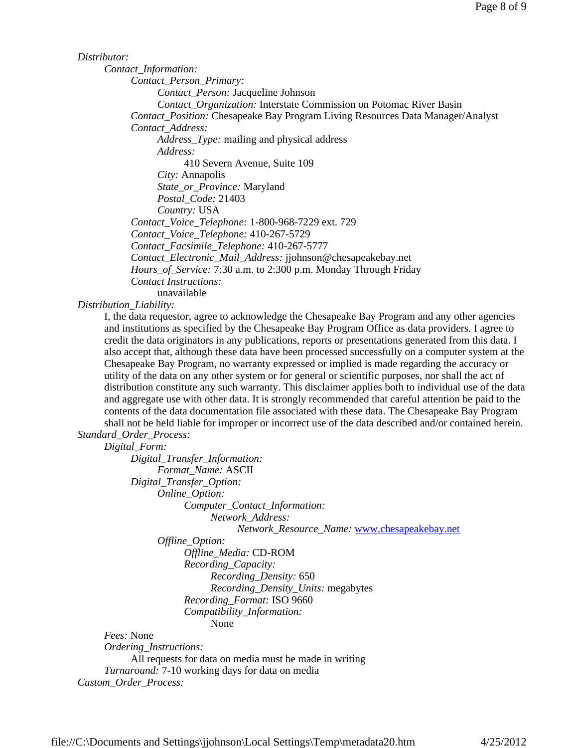#### *Distributor:*

*Contact\_Information: Contact\_Person\_Primary:*

*Contact\_Person:* Jacqueline Johnson

*Contact\_Organization:* Interstate Commission on Potomac River Basin

*Contact\_Position:* Chesapeake Bay Program Living Resources Data Manager/Analyst *Contact\_Address:*

*Address\_Type:* mailing and physical address *Address:*

410 Severn Avenue, Suite 109

*City:* Annapolis

*State\_or\_Province:* Maryland

*Postal\_Code:* 21403

*Country:* USA *Contact\_Voice\_Telephone:* 1-800-968-7229 ext. 729

*Contact\_Voice\_Telephone:* 410-267-5729

*Contact\_Facsimile\_Telephone:* 410-267-5777

*Contact\_Electronic\_Mail\_Address:* jjohnson@chesapeakebay.net

*Hours\_of\_Service:* 7:30 a.m. to 2:300 p.m. Monday Through Friday

*Contact Instructions:*

unavailable

*Distribution\_Liability:*

I, the data requestor, agree to acknowledge the Chesapeake Bay Program and any other agencies and institutions as specified by the Chesapeake Bay Program Office as data providers. I agree to credit the data originators in any publications, reports or presentations generated from this data. I also accept that, although these data have been processed successfully on a computer system at the Chesapeake Bay Program, no warranty expressed or implied is made regarding the accuracy or utility of the data on any other system or for general or scientific purposes, nor shall the act of distribution constitute any such warranty. This disclaimer applies both to individual use of the data and aggregate use with other data. It is strongly recommended that careful attention be paid to the contents of the data documentation file associated with these data. The Chesapeake Bay Program shall not be held liable for improper or incorrect use of the data described and/or contained herein.

*Standard\_Order\_Process:*

*Digital\_Form:*

*Digital\_Transfer\_Information: Format\_Name:* ASCII *Digital\_Transfer\_Option: Online\_Option: Computer\_Contact\_Information:*

*Network\_Address:*

*Network\_Resource\_Name:* www.chesapeakebay.net

*Offline\_Option:*

*Offline\_Media:* CD-ROM *Recording\_Capacity: Recording\_Density:* 650 *Recording\_Density\_Units:* megabytes *Recording\_Format:* ISO 9660 *Compatibility\_Information:* None

*Fees:* None

*Ordering\_Instructions:*

All requests for data on media must be made in writing *Turnaround:* 7-10 working days for data on media *Custom\_Order\_Process:*